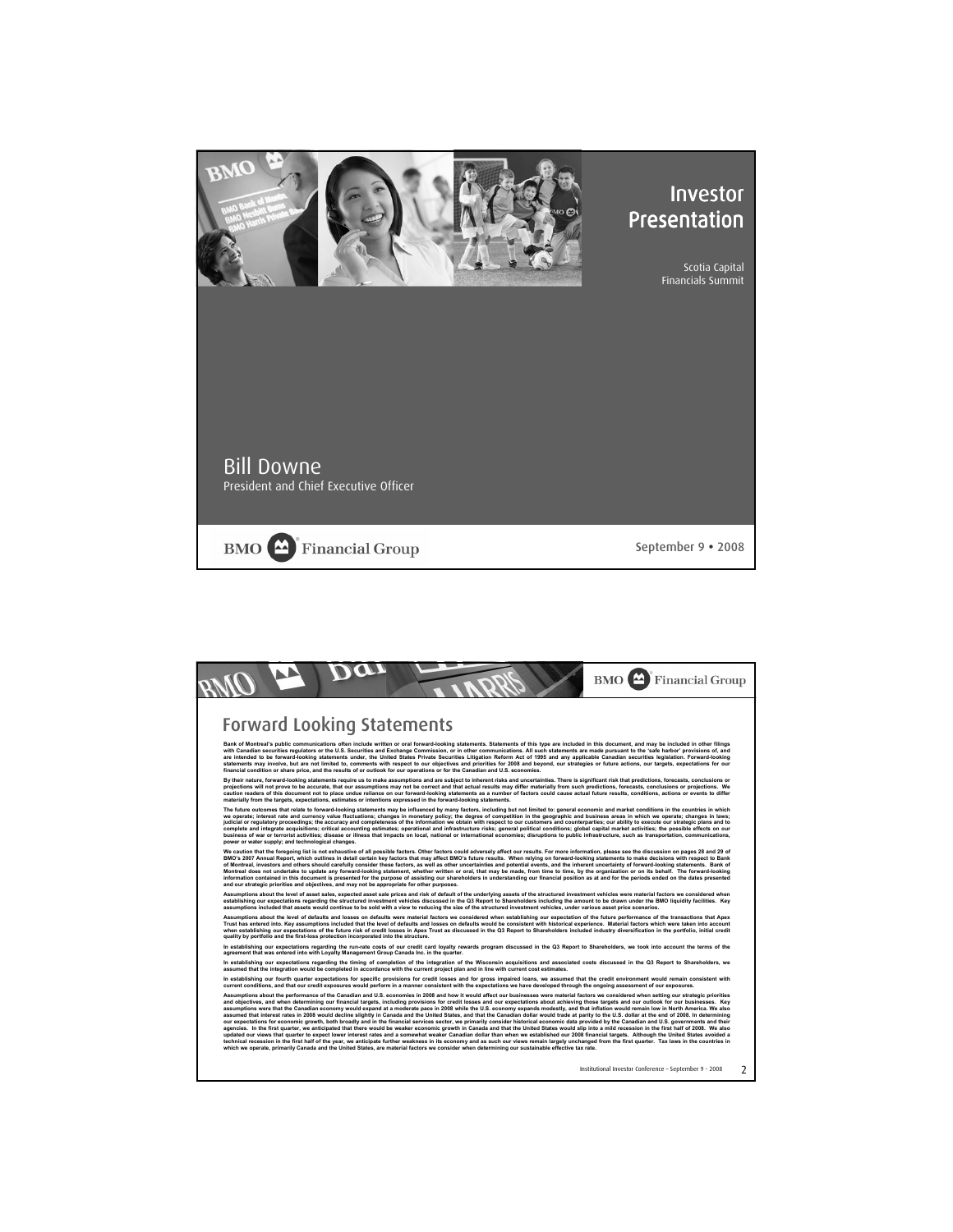

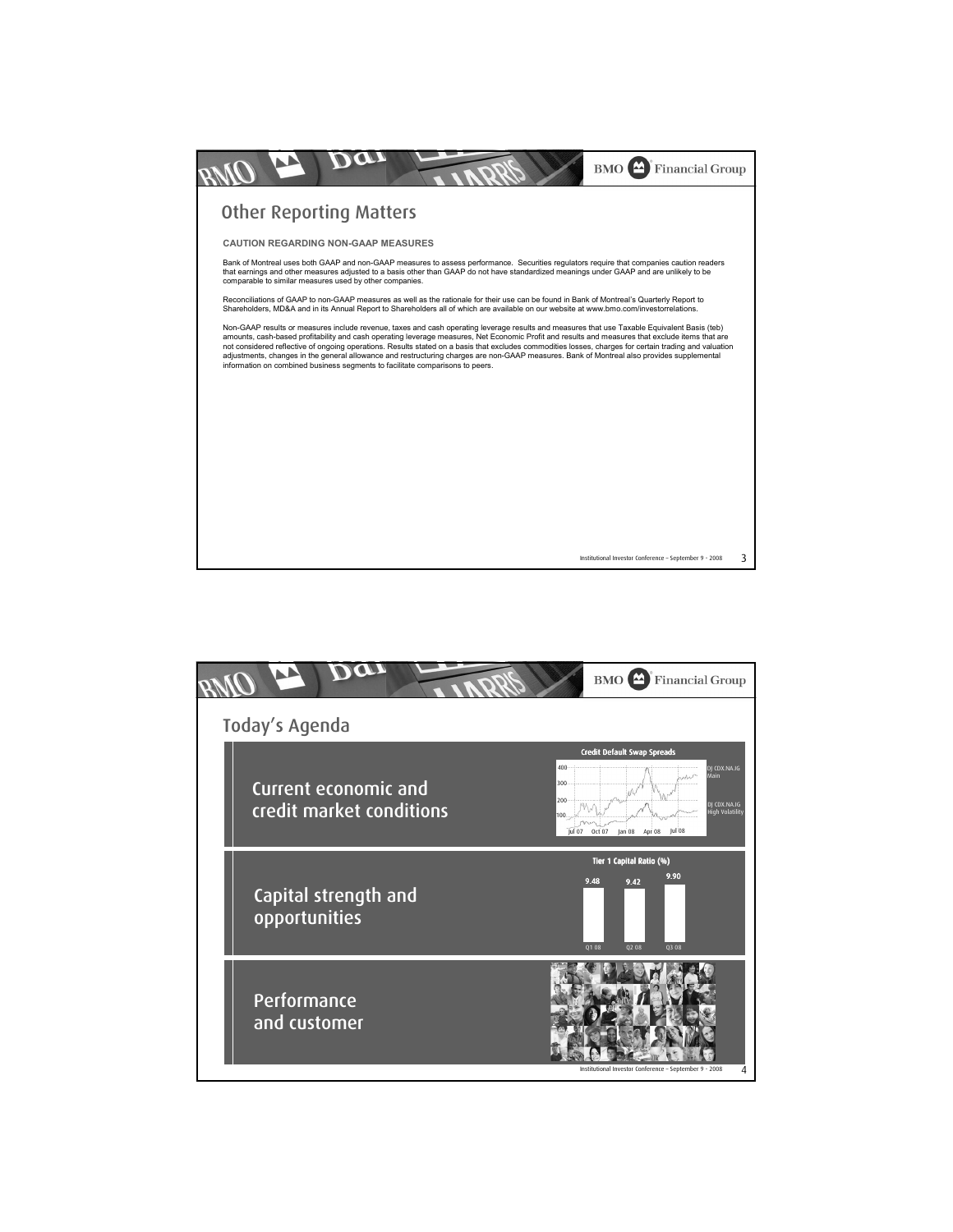

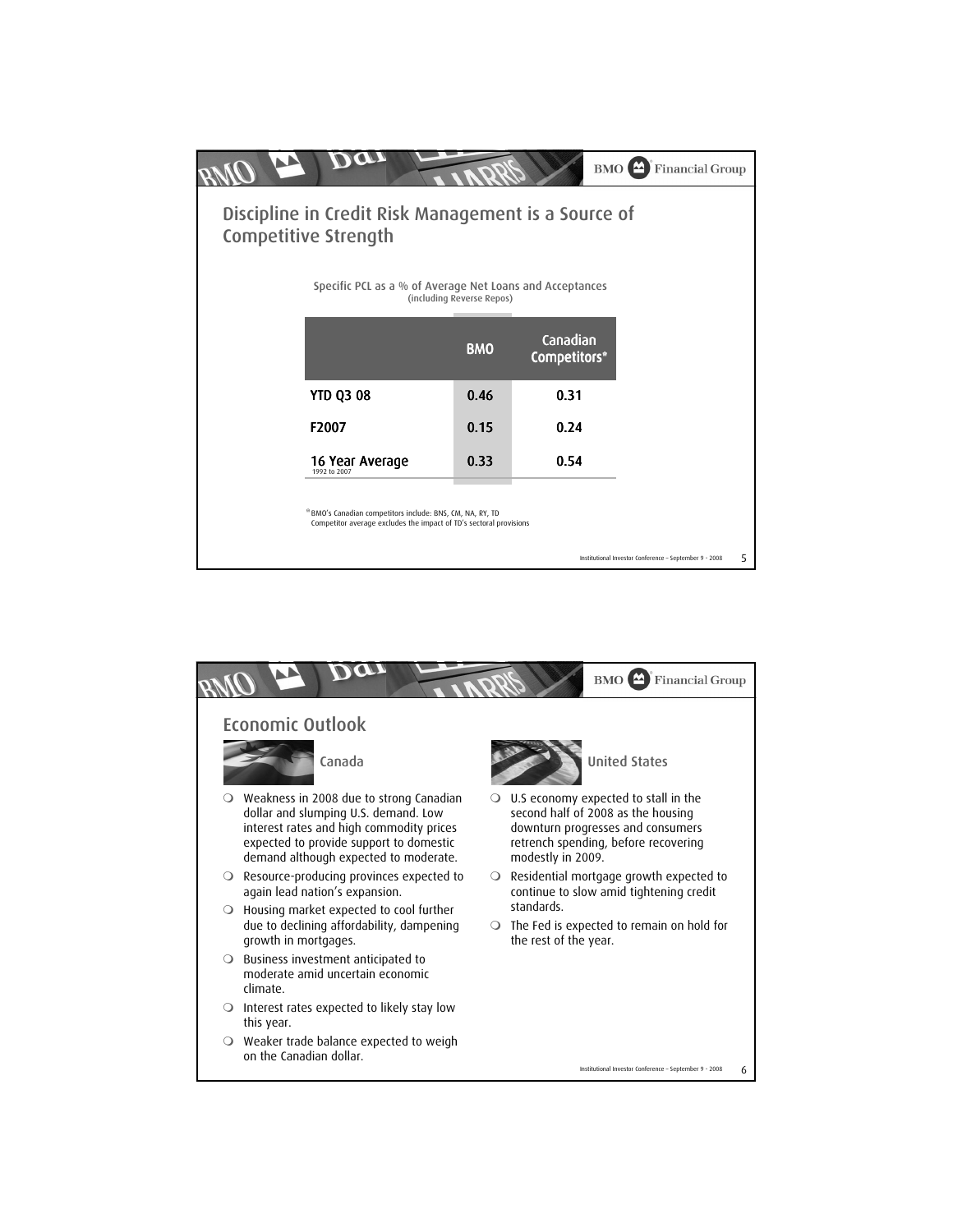|                                                                                       |                                                                                                                                |            |                          | $BMO$ $\triangle$<br><b>Financial Group</b> |  |
|---------------------------------------------------------------------------------------|--------------------------------------------------------------------------------------------------------------------------------|------------|--------------------------|---------------------------------------------|--|
| Discipline in Credit Risk Management is a Source of<br><b>Competitive Strength</b>    |                                                                                                                                |            |                          |                                             |  |
| Specific PCL as a % of Average Net Loans and Acceptances<br>(including Reverse Repos) |                                                                                                                                |            |                          |                                             |  |
|                                                                                       |                                                                                                                                | <b>BMO</b> | Canadian<br>Competitors* |                                             |  |
|                                                                                       | <b>YTD Q3 08</b>                                                                                                               | 0.46       | 0.31                     |                                             |  |
|                                                                                       | F2007                                                                                                                          | 0.15       | 0.24                     |                                             |  |
|                                                                                       | 16 Year Average<br>1992 to 2007                                                                                                | 0.33       | 0.54                     |                                             |  |
|                                                                                       | *BMO's Canadian competitors include: BNS, CM, NA, RY, TD<br>Competitor average excludes the impact of TD's sectoral provisions |            |                          |                                             |  |
| 5<br>Institutional Investor Conference - September 9 · 2008                           |                                                                                                                                |            |                          |                                             |  |

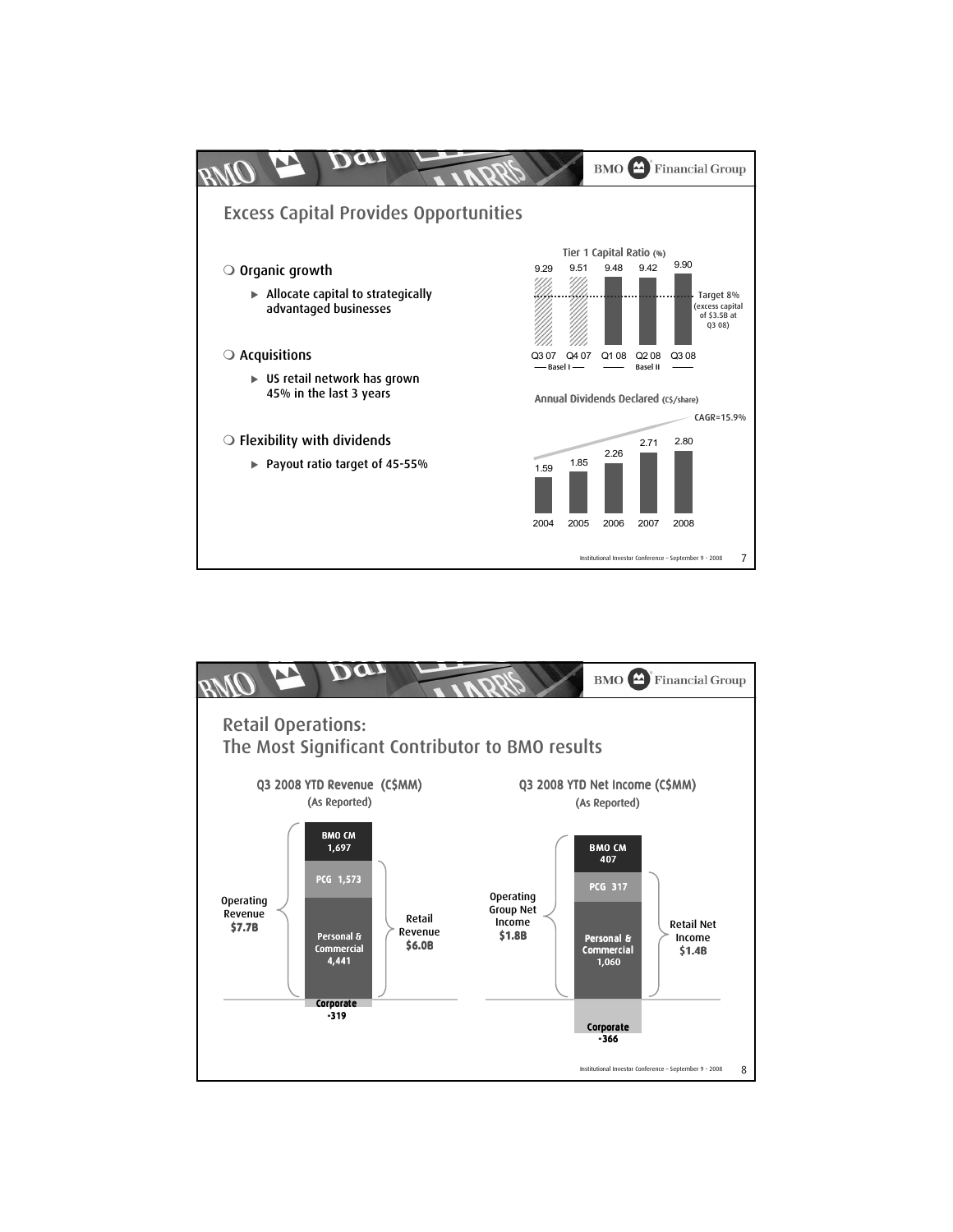

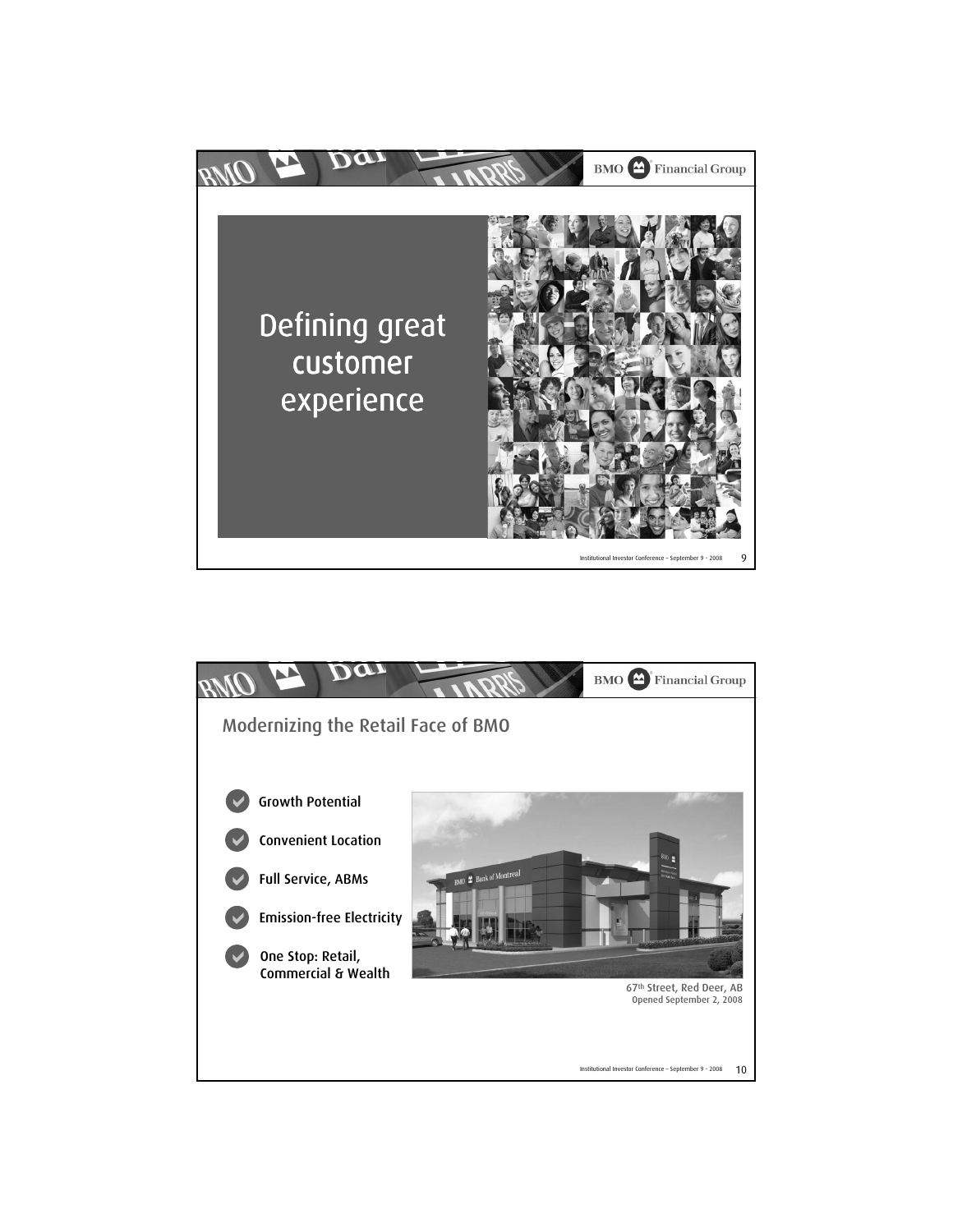

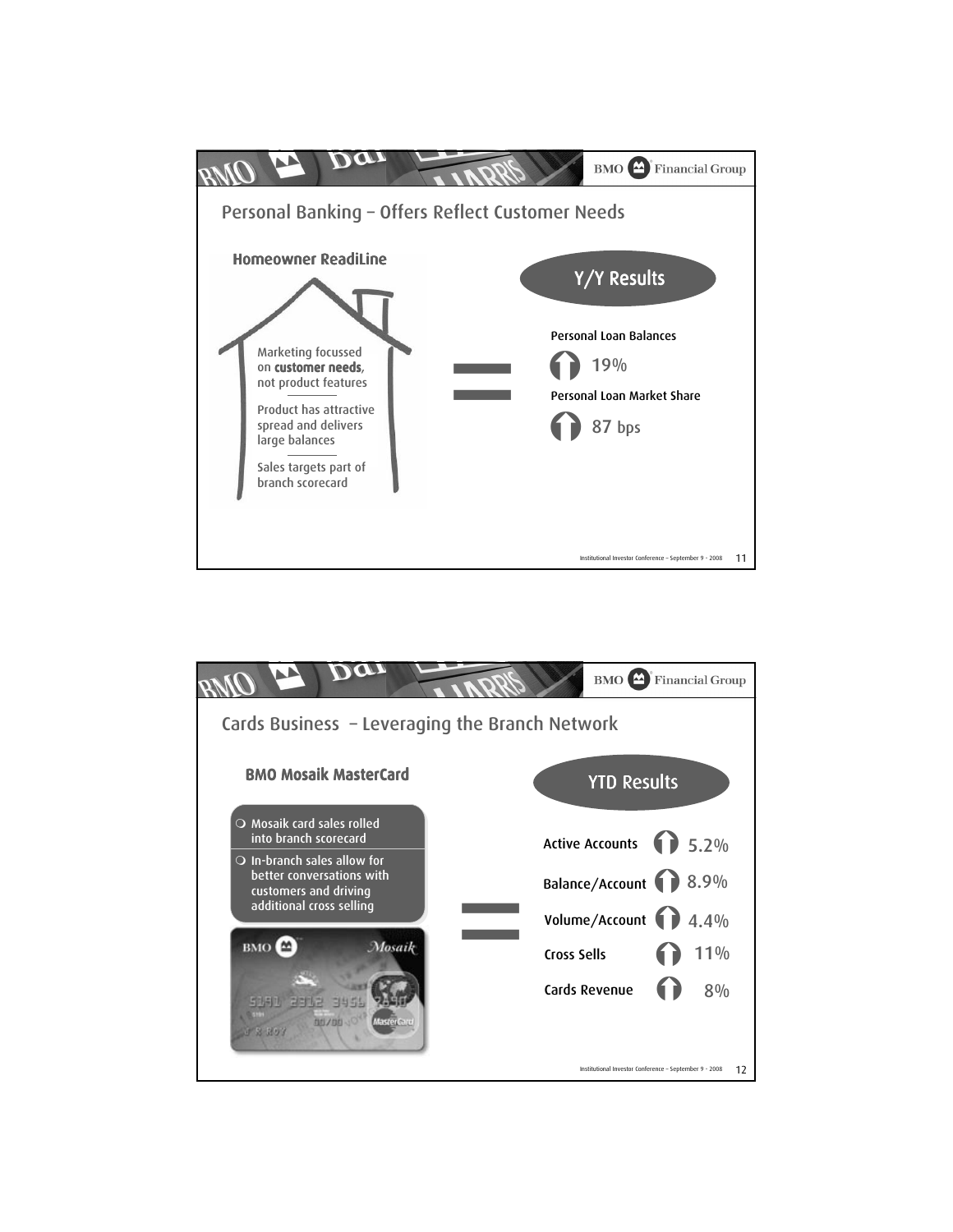

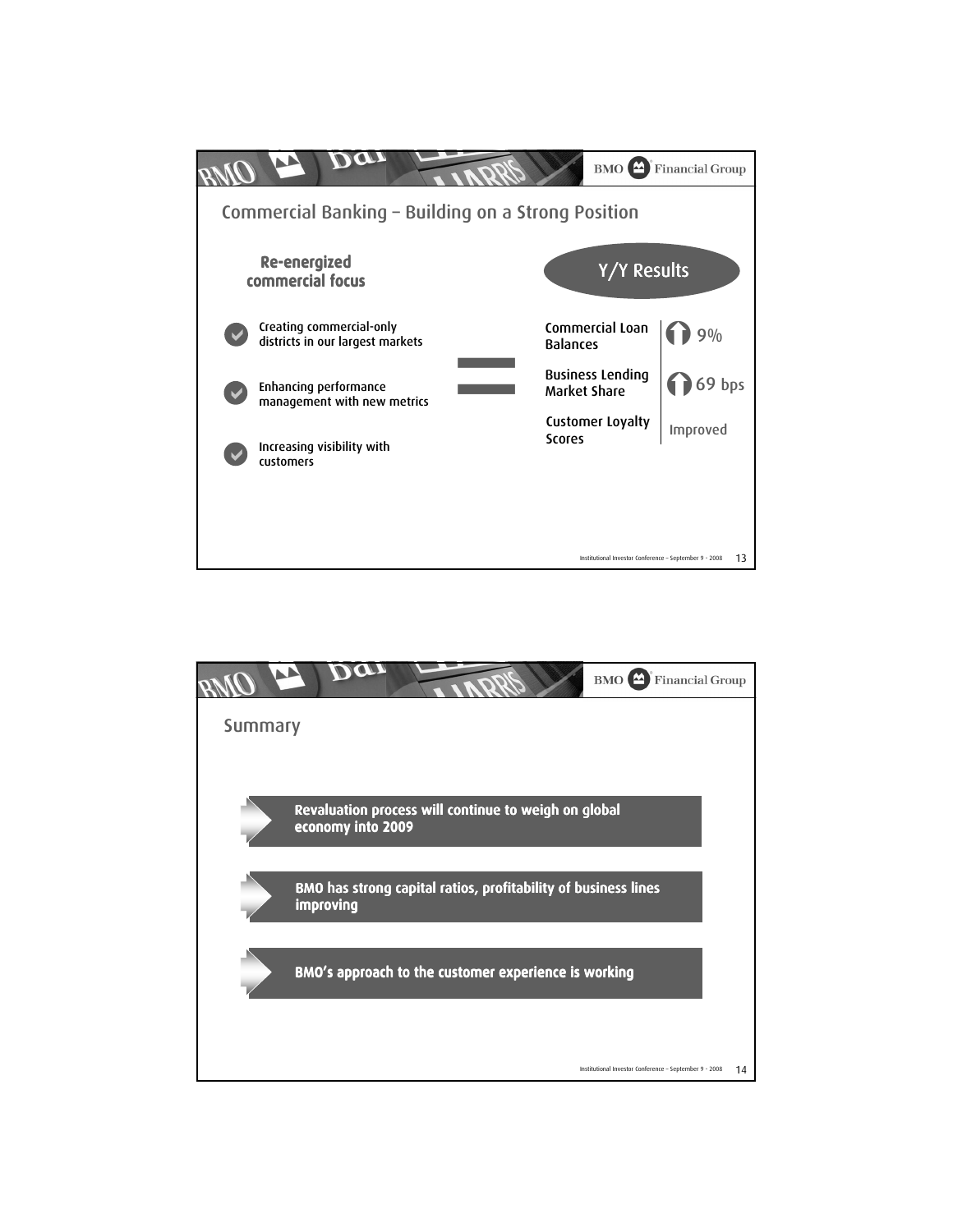